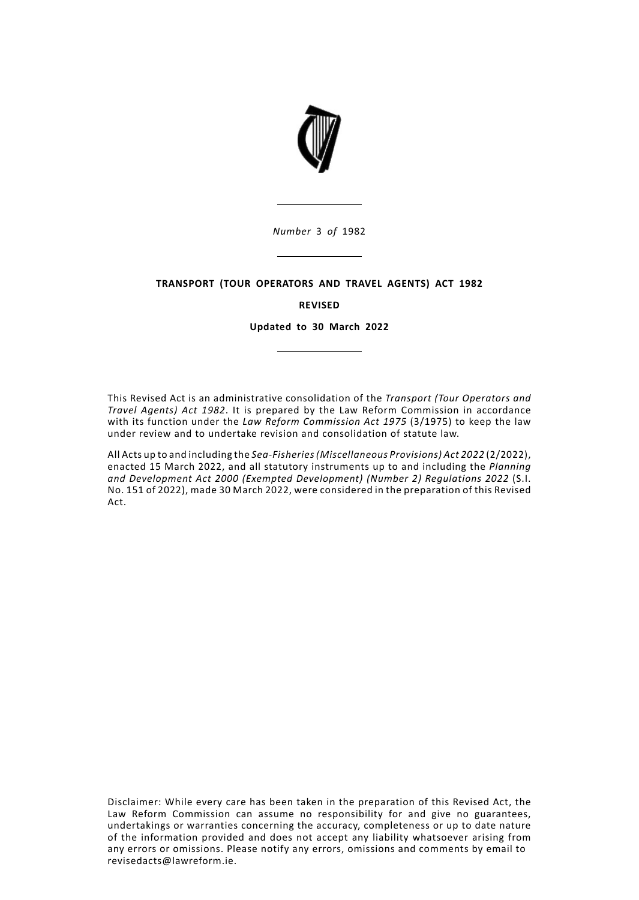

# **TRANSPORT (TOUR OPERATORS AND TRAVEL AGENTS) ACT 1982**

# **REVISED**

**Updated to 30 March 2022**

This Revised Act is an administrative consolidation of the *Transport (Tour Operators and Travel Agents) Act 1982*. It is prepared by the Law Reform Commission in accordance with its function under the *Law Reform Commission Act 1975* (3/1975) to keep the law under review and to undertake revision and consolidation of statute law.

All Acts up to and including the *Sea-Fisheries(Miscellaneous Provisions) Act 2022* (2/2022), enacted 15 March 2022, and all statutory instruments up to and including the *Planning and Development Act 2000 (Exempted Development) (Number 2) Regulations 2022* (S.I. No. 151 of 2022), made 30 March 2022, were considered in the preparation of this Revised Act.

Disclaimer: While every care has been taken in the preparation of this Revised Act, the Law Reform Commission can assume no responsibility for and give no guarantees, undertakings or warranties concerning the accuracy, completeness or up to date nature of the information provided and does not accept any liability whatsoever arising from any errors or omissions. Please notify any errors, omissions and comments by email to revisedacts@lawreform.ie.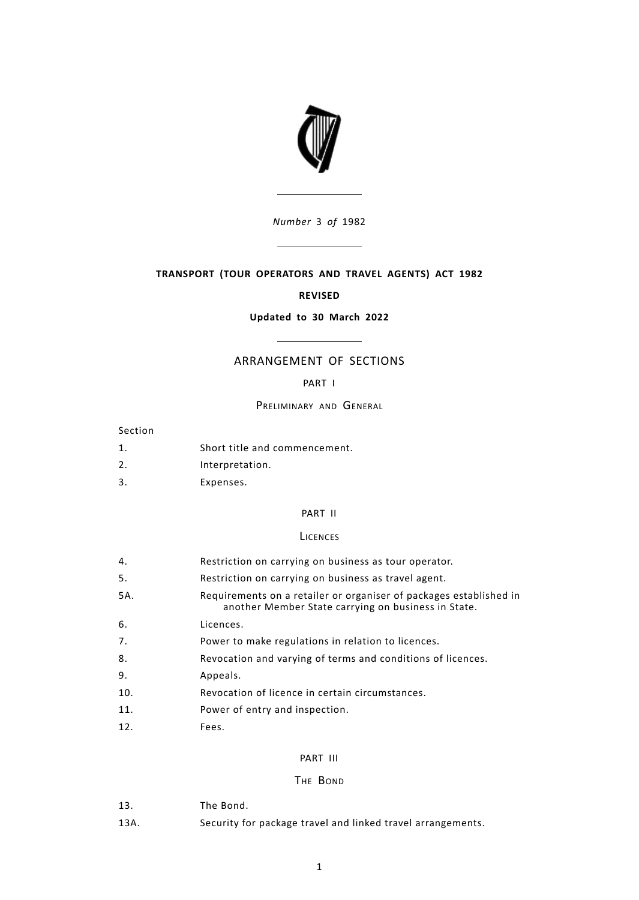

## **TRANSPORT (TOUR OPERATORS AND TRAVEL AGENTS) ACT 1982**

#### **REVISED**

### **Updated to 30 March 2022**

# ARRANGEMENT OF SECTIONS

#### [PART](#page-4-0) I

#### PRELIMINARY AND GENERAL

- Section
- [1.](#page-4-1) Short title and [commencement.](#page-4-1)
- [2.](#page-4-2) [Interpretation.](#page-4-2)
- [3.](#page-6-0) [Expenses.](#page-6-0)

## [PART](#page-6-1) II

#### **LICENCES**

- [4.](#page-6-2) [Restriction](#page-6-2) on carrying on business as tour operator.
- [5.](#page-6-3) [Restriction](#page-6-3) on carrying on business as travel agent.
- Requirements on a retailer or organiser of packages established in another Member State carrying on business in State. 5A.
- [6.](#page-7-0) [Licences.](#page-7-0)
- [7.](#page-7-1) Power to make [regulations](#page-7-1) in relation to licences.
- [8.](#page-8-0) [Revocation](#page-8-0) and varying of terms and conditions of licences.
- [9.](#page-8-1) [Appeals.](#page-8-1)
- [10.](#page-9-0) Revocation of licence in certain [circumstances.](#page-9-0)
- [11.](#page-9-1) Power of entry and [inspection.](#page-9-1)
- [12.](#page-9-2) [Fees.](#page-9-2)

# [PART](#page-9-3) III

## THE BOND

- [13.](#page-9-4) The [Bond.](#page-9-4)
- 13A. Security for package travel and linked travel arrangements.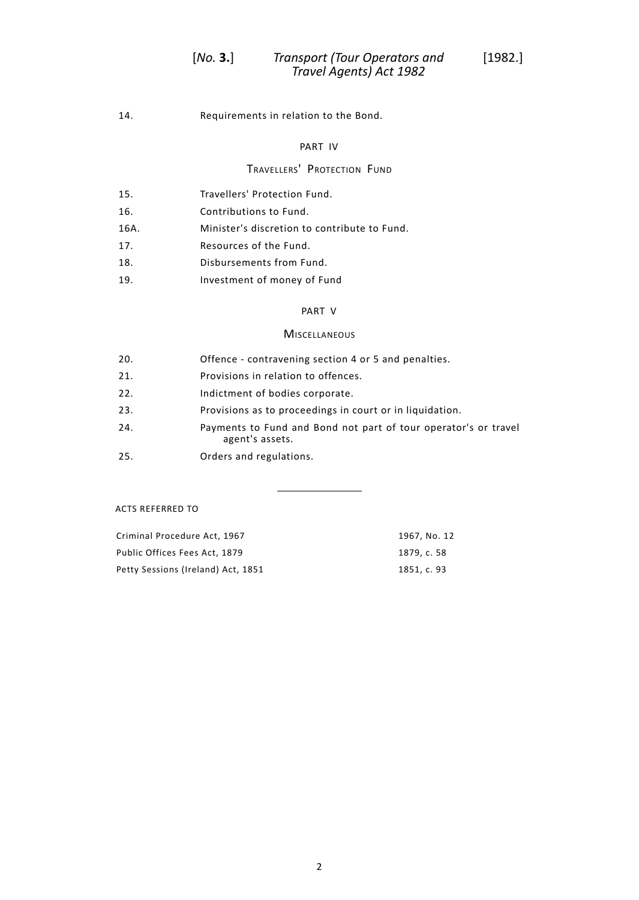[14.](#page-10-0) [Requirements](#page-10-0) in relation to the Bond.

# [PART](#page-10-1) IV

# TRAVELLERS' PROTECTION FUND

| 15.  | Travellers' Protection Fund.                 |
|------|----------------------------------------------|
| 16.  | Contributions to Fund.                       |
| 16A. | Minister's discretion to contribute to Fund. |
| 17.  | Resources of the Fund.                       |
| 18.  | Disbursements from Fund.                     |
| 19.  | Investment of money of Fund                  |

# [PART](#page-14-0) V

# **MISCELLANEOUS**

| 20. | Offence - contravening section 4 or 5 and penalties.                               |
|-----|------------------------------------------------------------------------------------|
| 21. | Provisions in relation to offences.                                                |
| 22. | Indictment of bodies corporate.                                                    |
| 23. | Provisions as to proceedings in court or in liquidation.                           |
| 24. | Payments to Fund and Bond not part of tour operator's or travel<br>agent's assets. |
| 25. | Orders and regulations.                                                            |
|     |                                                                                    |

ACTS REFERRED TO

| Criminal Procedure Act, 1967       | 1967. No. 12 |
|------------------------------------|--------------|
| Public Offices Fees Act, 1879      | 1879. c. 58  |
| Petty Sessions (Ireland) Act, 1851 | 1851. c. 93  |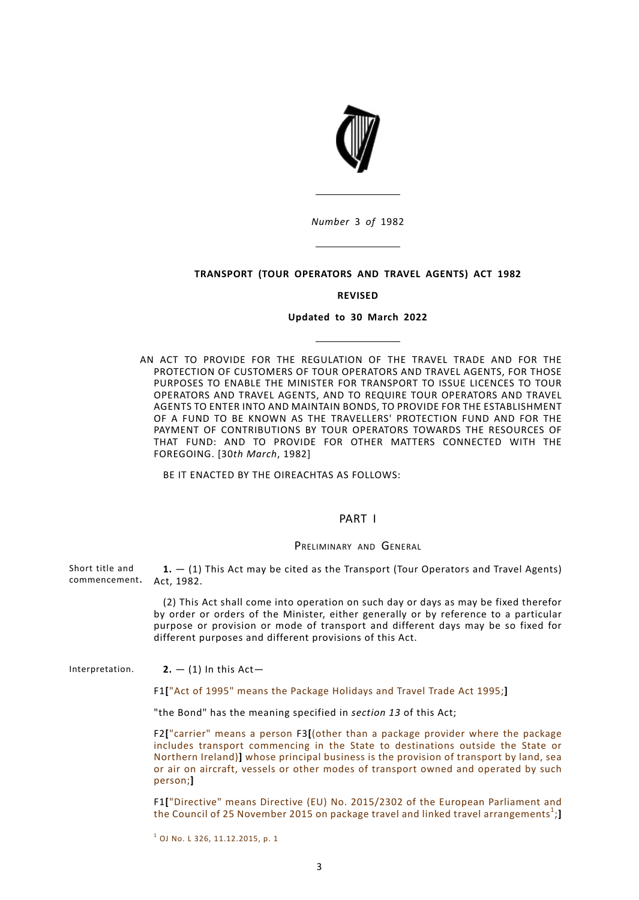

### **TRANSPORT (TOUR OPERATORS AND TRAVEL AGENTS) ACT 1982**

#### **REVISED**

#### **Updated to 30 March 2022**

AN ACT TO PROVIDE FOR THE REGULATION OF THE TRAVEL TRADE AND FOR THE PROTECTION OF CUSTOMERS OF TOUR OPERATORS AND TRAVEL AGENTS, FOR THOSE PURPOSES TO ENABLE THE MINISTER FOR TRANSPORT TO ISSUE LICENCES TO TOUR OPERATORS AND TRAVEL AGENTS, AND TO REQUIRE TOUR OPERATORS AND TRAVEL AGENTS TO ENTER INTO AND MAINTAIN BONDS, TO PROVIDE FOR THE ESTABLISHMENT OF A FUND TO BE KNOWN AS THE TRAVELLERS' PROTECTION FUND AND FOR THE PAYMENT OF CONTRIBUTIONS BY TOUR OPERATORS TOWARDS THE RESOURCES OF THAT FUND: AND TO PROVIDE FOR OTHER MATTERS CONNECTED WITH THE FOREGOING. [30*th March*, 1982]

<span id="page-4-1"></span><span id="page-4-0"></span>BE IT ENACTED BY THE OIREACHTAS AS FOLLOWS:

## PART I

#### PRELIMINARY AND GENERAL

Short title and commencement. Act, 1982. **1.** — (1) This Act may be cited as the Transport (Tour Operators and Travel Agents)

> <span id="page-4-2"></span>(2) This Act shall come into operation on such day or days as may be fixed therefor by order or orders of the Minister, either generally or by reference to a particular purpose or provision or mode of transport and different days may be so fixed for different purposes and different provisions of this Act.

Interpretation. **2.**  $-$  (1) In this Act-

F1**[**"Act of 1995" means the Package Holidays and Travel Trade Act 1995;**]**

"the Bond" has the meaning specified in *[section](#page-9-4) 13* of this Act;

F2**[**"carrier" means a person F3**[**(other than a package provider where the package includes transport commencing in the State to destinations outside the State or Northern Ireland)**]** whose principal business is the provision of transport by land, sea or air on aircraft, vessels or other modes of transport owned and operated by such person;**]**

F1**[**"Directive" means Directive (EU) No. 2015/2302 of the European Parliament and the Council of 25 November 2015 on package travel and linked travel arrangements<sup>1</sup>;

<sup>1</sup> OJ No. L 326, 11.12.2015, p. 1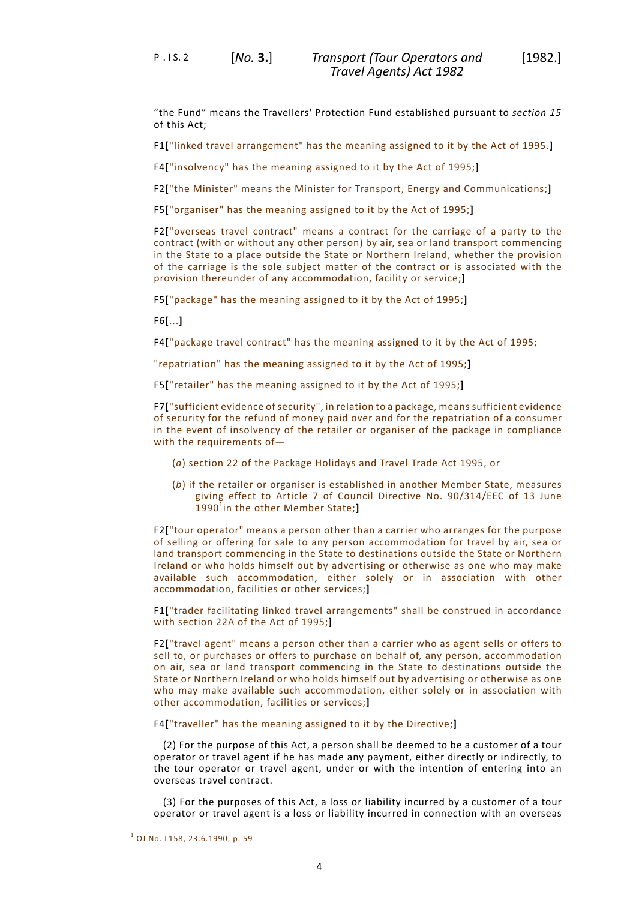PT. I S. 2 [*No.* **3.**]

"the Fund" means the Travellers' Protection Fund established pursuant to *[section](#page-11-0) 15* of this Act;

F1**[**"linked travel arrangement" has the meaning assigned to it by the Act of 1995.**]**

F4**[**"insolvency" has the meaning assigned to it by the Act of 1995;**]**

F2**[**"the Minister" means the Minister for Transport, Energy and Communications;**]**

F5**[**"organiser" has the meaning assigned to it by the Act of 1995;**]**

F2**[**"overseas travel contract" means a contract for the carriage of a party to the contract (with or without any other person) by air, sea or land transport commencing in the State to a place outside the State or Northern Ireland, whether the provision of the carriage is the sole subject matter of the contract or is associated with the provision thereunder of any accommodation, facility or service;**]**

F5**[**"package" has the meaning assigned to it by the Act of 1995;**]**

F6**[**...**]**

F4**[**"package travel contract" has the meaning assigned to it by the Act of 1995;

"repatriation" has the meaning assigned to it by the Act of 1995;**]**

F5**[**"retailer" has the meaning assigned to it by the Act of 1995;**]**

F7**[**"sufficient evidence of security", in relation to a package, means sufficient evidence of security for the refund of money paid over and for the repatriation of a consumer in the event of insolvency of the retailer or organiser of the package in compliance with the requirements of—

- (*a*) section 22 of the Package Holidays and Travel Trade Act 1995, or
- (*b*) if the retailer or organiser is established in another Member State, measures giving effect to Article 7 of Council Directive No. 90/314/EEC of 13 June 1990<sup>1</sup>in the other Member State;

F2**[**"tour operator" means a person other than a carrier who arranges for the purpose of selling or offering for sale to any person accommodation for travel by air, sea or land transport commencing in the State to destinations outside the State or Northern Ireland or who holds himself out by advertising or otherwise as one who may make available such accommodation, either solely or in association with other accommodation, facilities or other services;**]**

F1**[**"trader facilitating linked travel arrangements" shall be construed in accordance with section 22A of the Act of 1995;**]**

F2**[**"travel agent" means a person other than a carrier who as agent sells or offers to sell to, or purchases or offers to purchase on behalf of, any person, accommodation on air, sea or land transport commencing in the State to destinations outside the State or Northern Ireland or who holds himself out by advertising or otherwise as one who may make available such accommodation, either solely or in association with other accommodation, facilities or services;**]**

F4**[**"traveller" has the meaning assigned to it by the Directive;**]**

(2) For the purpose of this Act, a person shall be deemed to be a customer of a tour operator or travel agent if he has made any payment, either directly or indirectly, to the tour operator or travel agent, under or with the intention of entering into an overseas travel contract.

(3) For the purposes of this Act, a loss or liability incurred by a customer of a tour operator or travel agent is a loss or liability incurred in connection with an overseas

<sup>1</sup> OJ No. L158, 23.6.1990, p. 59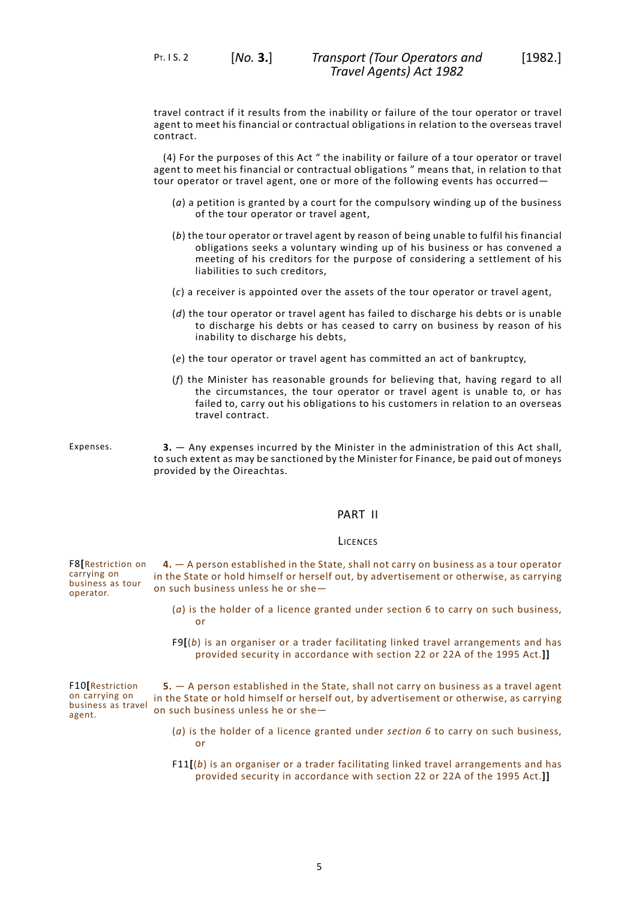travel contract if it results from the inability or failure of the tour operator or travel agent to meet his financial or contractual obligations in relation to the overseas travel contract.

(4) For the purposes of this Act " the inability or failure of a tour operator or travel agent to meet his financial or contractual obligations " means that, in relation to that tour operator or travel agent, one or more of the following events has occurred—

- (*a*) a petition is granted by a court for the compulsory winding up of the business of the tour operator or travel agent,
- (*b*) the tour operator or travel agent by reason of being unable to fulfil his financial obligations seeks a voluntary winding up of his business or has convened a meeting of his creditors for the purpose of considering a settlement of his liabilities to such creditors,
- (*c*) a receiver is appointed over the assets of the tour operator or travel agent,
- (*d*) the tour operator or travel agent has failed to discharge his debts or is unable to discharge his debts or has ceased to carry on business by reason of his inability to discharge his debts,
- (*e*) the tour operator or travel agent has committed an act of bankruptcy,
- <span id="page-6-0"></span>(*f*) the Minister has reasonable grounds for believing that, having regard to all the circumstances, the tour operator or travel agent is unable to, or has failed to, carry out his obligations to his customers in relation to an overseas travel contract.

<span id="page-6-1"></span>

Expenses. **3.** — Any expenses incurred by the Minister in the administration of this Act shall, to such extent as may be sanctioned by the Minister for Finance, be paid out of moneys provided by the Oireachtas.

## PART II

#### LICENCES

<span id="page-6-2"></span>F8**[**Restriction on carrying on business as tour operator. **4.** — A person established in the State, shall not carry on business as a tour operator in the State or hold himself or herself out, by advertisement or otherwise, as carrying on such business unless he or she—

- <span id="page-6-3"></span>(*a*) is the holder of a licence granted under section 6 to carry on such business, or
- F9**[**(*b*) is an organiser or a trader facilitating linked travel arrangements and has provided security in accordance with section 22 or 22A of the 1995 Act.**]]**

F10**[**Restriction on carrying on business as travel agent. **5.** — A person established in the State, shall not carry on business as a travel agent in the State or hold himself or herself out, by advertisement or otherwise, as carrying on such business unless he or she—

- (*a*) is the holder of a licence granted under *section 6* to carry on such business, or
- F11**[**(*b*) is an organiser or a trader facilitating linked travel arrangements and has provided security in accordance with section 22 or 22A of the 1995 Act.**]]**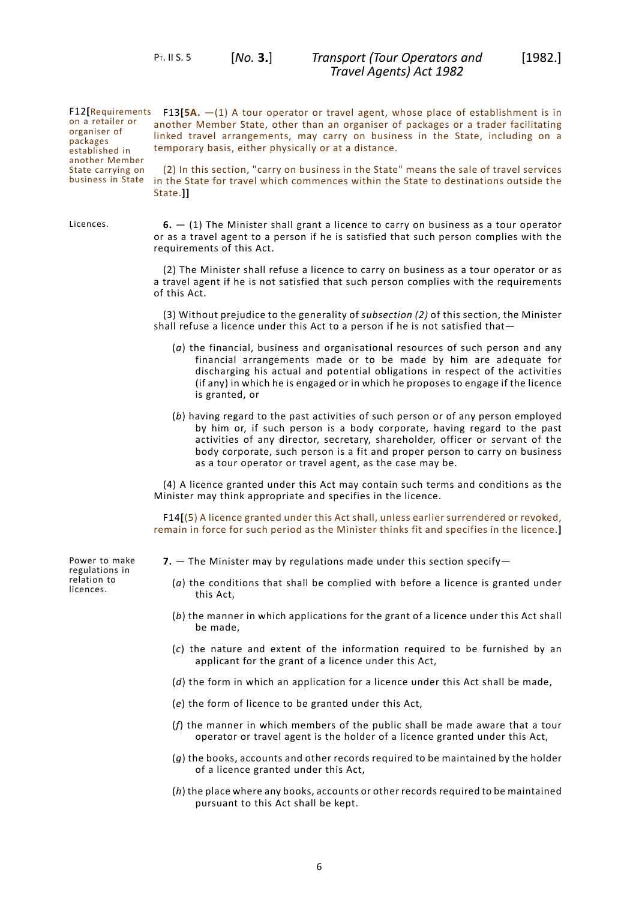PT. II S. 5 [*No.* **3.**]

F12**[**Requirements F13**[5A.** —(1) A tour operator or travel agent, whose place of establishment is in on a retailer or organiser of packages established in another Member State carrying on business in State

another Member State, other than an organiser of packages or a trader facilitating linked travel arrangements, may carry on business in the State, including on a temporary basis, either physically or at a distance.

<span id="page-7-0"></span>(2) In this section, "carry on business in the State" means the sale of travel services in the State for travel which commences within the State to destinations outside the State.**]]**

Licences. **6.** — (1) The Minister shall grant a licence to carry on business as a tour operator or as a travel agent to a person if he is satisfied that such person complies with the requirements of this Act.

> (2) The Minister shall refuse a licence to carry on business as a tour operator or as a travel agent if he is not satisfied that such person complies with the requirements of this Act.

> (3) Without prejudice to the generality of *subsection (2)* of this section, the Minister shall refuse a licence under this Act to a person if he is not satisfied that—

- (*a*) the financial, business and organisational resources of such person and any financial arrangements made or to be made by him are adequate for discharging his actual and potential obligations in respect of the activities (if any) in which he is engaged or in which he proposes to engage if the licence is granted, or
- (*b*) having regard to the past activities of such person or of any person employed by him or, if such person is a body corporate, having regard to the past activities of any director, secretary, shareholder, officer or servant of the body corporate, such person is a fit and proper person to carry on business as a tour operator or travel agent, as the case may be.

(4) A licence granted under this Act may contain such terms and conditions as the Minister may think appropriate and specifies in the licence.

<span id="page-7-1"></span>F14**[**(5) A licence granted under this Act shall, unless earlier surrendered or revoked, remain in force for such period as the Minister thinks fit and specifies in the licence.**]**

Power to make regulations in relation to licences.

- **7.** The Minister may by regulations made under this section specify—
	- (*a*) the conditions that shall be complied with before a licence is granted under this Act,
	- (*b*) the manner in which applications for the grant of a licence under this Act shall be made,
	- (*c*) the nature and extent of the information required to be furnished by an applicant for the grant of a licence under this Act,
	- (*d*) the form in which an application for a licence under this Act shall be made,
	- (*e*) the form of licence to be granted under this Act,
	- (*f*) the manner in which members of the public shall be made aware that a tour operator or travel agent is the holder of a licence granted under this Act,
	- (*g*) the books, accounts and other records required to be maintained by the holder of a licence granted under this Act,
	- (*h*) the place where any books, accounts or other records required to be maintained pursuant to this Act shall be kept.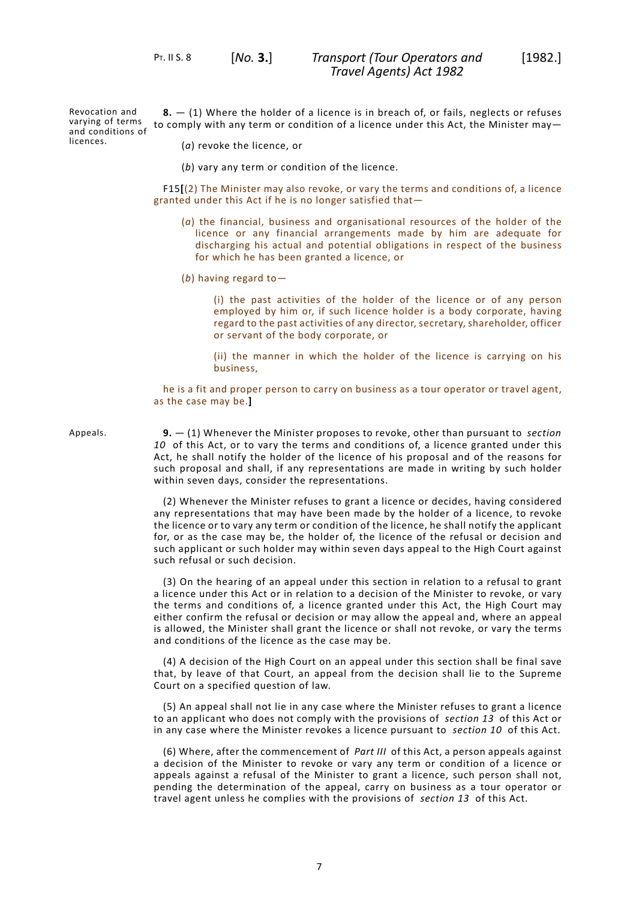<span id="page-8-0"></span>PT. II S. 8 [*No.* **3.**]

Revocation and varying of terms varying of terms  $\,$  to comply with any term or condition of a licence under this Act, the Minister may—<br>and conditions of licences. **8.** — (1) Where the holder of a licence is in breach of, or fails, neglects or refuses

(*a*) revoke the licence, or

(*b*) vary any term or condition of the licence.

F15**[**(2) The Minister may also revoke, or vary the terms and conditions of, a licence granted under this Act if he is no longer satisfied that—

- (*a*) the financial, business and organisational resources of the holder of the licence or any financial arrangements made by him are adequate for discharging his actual and potential obligations in respect of the business for which he has been granted a licence, or
- (*b*) having regard to—

(i) the past activities of the holder of the licence or of any person employed by him or, if such licence holder is a body corporate, having regard to the past activities of any director, secretary, shareholder, officer or servant of the body corporate, or

(ii) the manner in which the holder of the licence is carrying on his business,

<span id="page-8-1"></span>he is a fit and proper person to carry on business as a tour operator or travel agent, as the case may be.**]**

Appeals. **9.** — (1) Whenever the Minister proposes to revoke, other than pursuant to *[section](#page-9-0) [10](#page-9-0)* of this Act, or to vary the terms and conditions of, a licence granted under this Act, he shall notify the holder of the licence of his proposal and of the reasons for such proposal and shall, if any representations are made in writing by such holder within seven days, consider the representations.

> (2) Whenever the Minister refuses to grant a licence or decides, having considered any representations that may have been made by the holder of a licence, to revoke the licence or to vary any term or condition of the licence, he shall notify the applicant for, or as the case may be, the holder of, the licence of the refusal or decision and such applicant or such holder may within seven days appeal to the High Court against such refusal or such decision.

> (3) On the hearing of an appeal under this section in relation to a refusal to grant a licence under this Act or in relation to a decision of the Minister to revoke, or vary the terms and conditions of, a licence granted under this Act, the High Court may either confirm the refusal or decision or may allow the appeal and, where an appeal is allowed, the Minister shall grant the licence or shall not revoke, or vary the terms and conditions of the licence as the case may be.

> (4) A decision of the High Court on an appeal under this section shall be final save that, by leave of that Court, an appeal from the decision shall lie to the Supreme Court on a specified question of law.

> (5) An appeal shall not lie in any case where the Minister refuses to grant a licence to an applicant who does not comply with the provisions of *[section](#page-9-4) 13* of this Act or in any case where the Minister revokes a licence pursuant to *[section](#page-9-0) 10* of this Act.

> (6) Where, after the commencement of *[Part](#page-9-3) III* of this Act, a person appeals against a decision of the Minister to revoke or vary any term or condition of a licence or appeals against a refusal of the Minister to grant a licence, such person shall not, pending the determination of the appeal, carry on business as a tour operator or travel agent unless he complies with the provisions of *[section](#page-9-4) 13* of this Act.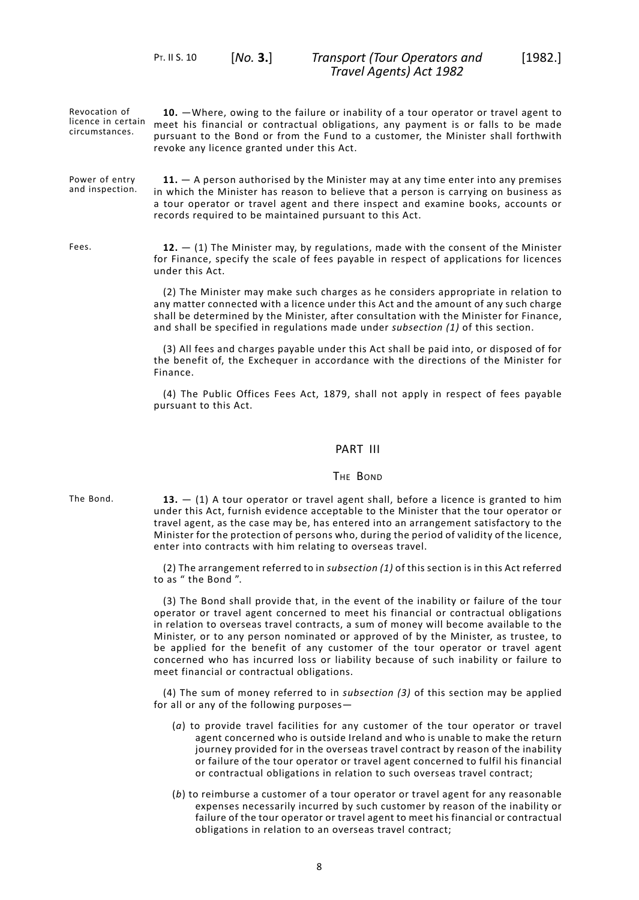<span id="page-9-0"></span>PT. II S. 10 [*No.* **3.**]

Revocation of licence in certain circumstances. **10.** —Where, owing to the failure or inability of a tour operator or travel agent to meet his financial or contractual obligations, any payment is or falls to be made pursuant to the Bond or from the Fund to a customer, the Minister shall forthwith revoke any licence granted under this Act.

<span id="page-9-1"></span>Power of entry and inspection. **11.** — A person authorised by the Minister may at any time enter into any premises in which the Minister has reason to believe that a person is carrying on business as a tour operator or travel agent and there inspect and examine books, accounts or records required to be maintained pursuant to this Act.

Fees. **12.** — (1) The Minister may, by regulations, made with the consent of the Minister for Finance, specify the scale of fees payable in respect of applications for licences under this Act.

> <span id="page-9-2"></span>(2) The Minister may make such charges as he considers appropriate in relation to any matter connected with a licence under this Act and the amount of any such charge shall be determined by the Minister, after consultation with the Minister for Finance, and shall be specified in regulations made under *subsection (1)* of this section.

> (3) All fees and charges payable under this Act shall be paid into, or disposed of for the benefit of, the Exchequer in accordance with the directions of the Minister for Finance.

> <span id="page-9-4"></span><span id="page-9-3"></span>(4) The Public Offices Fees Act, 1879, shall not apply in respect of fees payable pursuant to this Act.

# PART III

#### THE BOND

The Bond. **13.**  $-$  (1) A tour operator or travel agent shall, before a licence is granted to him under this Act, furnish evidence acceptable to the Minister that the tour operator or travel agent, as the case may be, has entered into an arrangement satisfactory to the Minister for the protection of persons who, during the period of validity of the licence, enter into contracts with him relating to overseas travel.

> (2) The arrangement referred to in *subsection (1)* of this section is in this Act referred to as " the Bond ".

> (3) The Bond shall provide that, in the event of the inability or failure of the tour operator or travel agent concerned to meet his financial or contractual obligations in relation to overseas travel contracts, a sum of money will become available to the Minister, or to any person nominated or approved of by the Minister, as trustee, to be applied for the benefit of any customer of the tour operator or travel agent concerned who has incurred loss or liability because of such inability or failure to meet financial or contractual obligations.

> (4) The sum of money referred to in *subsection (3)* of this section may be applied for all or any of the following purposes—

- (*a*) to provide travel facilities for any customer of the tour operator or travel agent concerned who is outside Ireland and who is unable to make the return journey provided for in the overseas travel contract by reason of the inability or failure of the tour operator or travel agent concerned to fulfil his financial or contractual obligations in relation to such overseas travel contract;
- (*b*) to reimburse a customer of a tour operator or travel agent for any reasonable expenses necessarily incurred by such customer by reason of the inability or failure of the tour operator or travel agent to meet his financial or contractual obligations in relation to an overseas travel contract;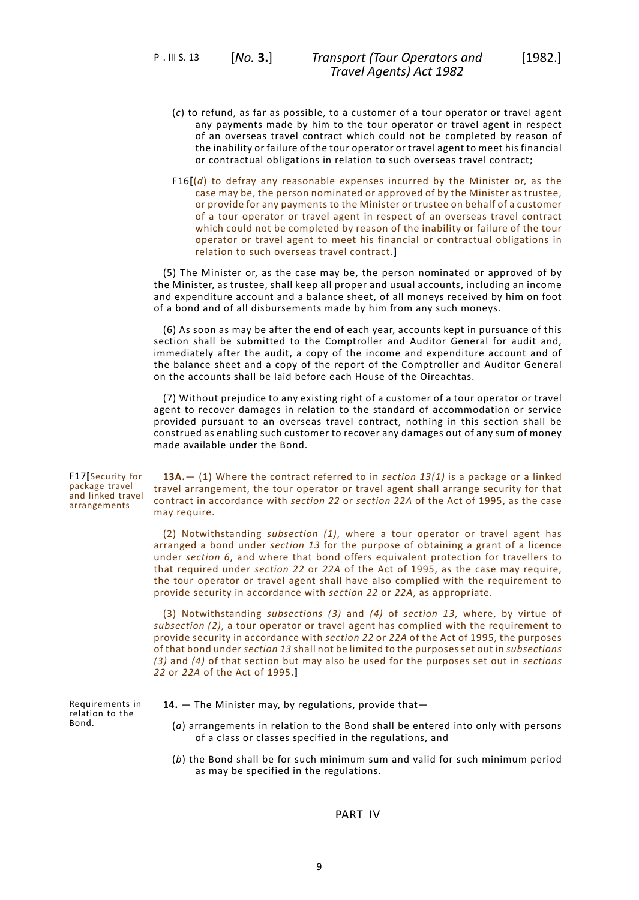PT. III S. 13 [*No.* **3.**]

- (*c*) to refund, as far as possible, to a customer of a tour operator or travel agent any payments made by him to the tour operator or travel agent in respect of an overseas travel contract which could not be completed by reason of the inability or failure of the tour operator or travel agent to meet his financial or contractual obligations in relation to such overseas travel contract;
- F16**[**(*d*) to defray any reasonable expenses incurred by the Minister or, as the case may be, the person nominated or approved of by the Minister as trustee, or provide for any payments to the Minister or trustee on behalf of a customer of a tour operator or travel agent in respect of an overseas travel contract which could not be completed by reason of the inability or failure of the tour operator or travel agent to meet his financial or contractual obligations in relation to such overseas travel contract.**]**

(5) The Minister or, as the case may be, the person nominated or approved of by the Minister, as trustee, shall keep all proper and usual accounts, including an income and expenditure account and a balance sheet, of all moneys received by him on foot of a bond and of all disbursements made by him from any such moneys.

(6) As soon as may be after the end of each year, accounts kept in pursuance of this section shall be submitted to the Comptroller and Auditor General for audit and, immediately after the audit, a copy of the income and expenditure account and of the balance sheet and a copy of the report of the Comptroller and Auditor General on the accounts shall be laid before each House of the Oireachtas.

(7) Without prejudice to any existing right of a customer of a tour operator or travel agent to recover damages in relation to the standard of accommodation or service provided pursuant to an overseas travel contract, nothing in this section shall be construed as enabling such customer to recover any damages out of any sum of money made available under the Bond.

F17**[**Security for package travel and linked travel arrangements

**13A.**— (1) Where the contract referred to in *section 13(1)* is a package or a linked travel arrangement, the tour operator or travel agent shall arrange security for that contract in accordance with *section 22* or *section 22A* of the Act of 1995, as the case may require.

(2) Notwithstanding *subsection (1)*, where a tour operator or travel agent has arranged a bond under *section 13* for the purpose of obtaining a grant of a licence under *section 6*, and where that bond offers equivalent protection for travellers to that required under *section 22* or *22A* of the Act of 1995, as the case may require, the tour operator or travel agent shall have also complied with the requirement to provide security in accordance with *section 22* or *22A*, as appropriate.

<span id="page-10-0"></span>(3) Notwithstanding *subsections (3)* and *(4)* of *section 13*, where, by virtue of *subsection (2)*, a tour operator or travel agent has complied with the requirement to provide security in accordance with *section 22* or *22A* of the Act of 1995, the purposes of that bond under *section 13* shall not be limited to the purposes set out in *subsections (3)* and *(4)* of that section but may also be used for the purposes set out in *sections 22* or *22A* of the Act of 1995.**]**

Requirements in relation to the Bond.

- <span id="page-10-1"></span>**14.** — The Minister may, by regulations, provide that—
	- (*a*) arrangements in relation to the Bond shall be entered into only with persons of a class or classes specified in the regulations, and
	- (*b*) the Bond shall be for such minimum sum and valid for such minimum period as may be specified in the regulations.

PART IV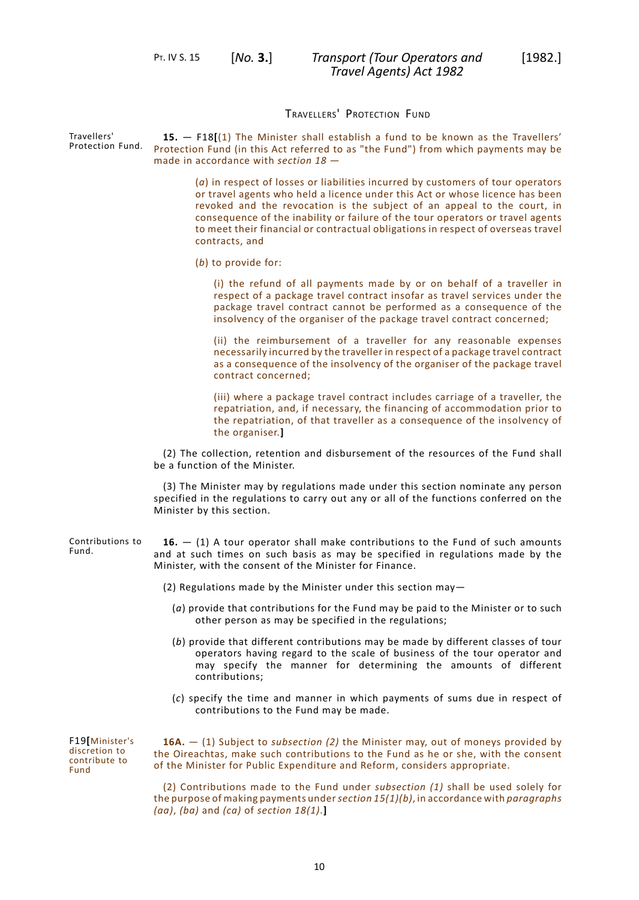<span id="page-11-0"></span>PT. IV S. 15 [*No.* **3.**]

# TRAVELLERS' PROTECTION FUND

Protection Fund. **15.** — F18**[**(1) The Minister shall establish a fund to be known as the Travellers' Protection Fund (in this Act referred to as "the Fund") from which payments may be made in accordance with *section 18* —

> (*a*) in respect of losses or liabilities incurred by customers of tour operators or travel agents who held a licence under this Act or whose licence has been revoked and the revocation is the subject of an appeal to the court, in consequence of the inability or failure of the tour operators or travel agents to meet their financial or contractual obligations in respect of overseas travel contracts, and

(*b*) to provide for:

(i) the refund of all payments made by or on behalf of a traveller in respect of a package travel contract insofar as travel services under the package travel contract cannot be performed as a consequence of the insolvency of the organiser of the package travel contract concerned;

(ii) the reimbursement of a traveller for any reasonable expenses necessarily incurred by the traveller in respect of a package travel contract as a consequence of the insolvency of the organiser of the package travel contract concerned;

(iii) where a package travel contract includes carriage of a traveller, the repatriation, and, if necessary, the financing of accommodation prior to the repatriation, of that traveller as a consequence of the insolvency of the organiser.**]**

(2) The collection, retention and disbursement of the resources of the Fund shall be a function of the Minister.

<span id="page-11-1"></span>(3) The Minister may by regulations made under this section nominate any person specified in the regulations to carry out any or all of the functions conferred on the Minister by this section.

Contributions to Fund. **16.** — (1) A tour operator shall make contributions to the Fund of such amounts and at such times on such basis as may be specified in regulations made by the Minister, with the consent of the Minister for Finance.

- (2) Regulations made by the Minister under this section may—
	- (*a*) provide that contributions for the Fund may be paid to the Minister or to such other person as may be specified in the regulations;
	- (*b*) provide that different contributions may be made by different classes of tour operators having regard to the scale of business of the tour operator and may specify the manner for determining the amounts of different contributions;
	- (*c*) specify the time and manner in which payments of sums due in respect of contributions to the Fund may be made.

F19**[**Minister's discretion to contribute to Fund

<span id="page-11-2"></span>**16A.** — (1) Subject to *subsection (2)* the Minister may, out of moneys provided by the Oireachtas, make such contributions to the Fund as he or she, with the consent of the Minister for Public Expenditure and Reform, considers appropriate.

(2) Contributions made to the Fund under *subsection (1)* shall be used solely for the purpose of making payments under*section 15(1)(b)*, in accordance with *paragraphs (aa)*, *(ba)* and *(ca)* of *section 18(1)*.**]**

Travellers'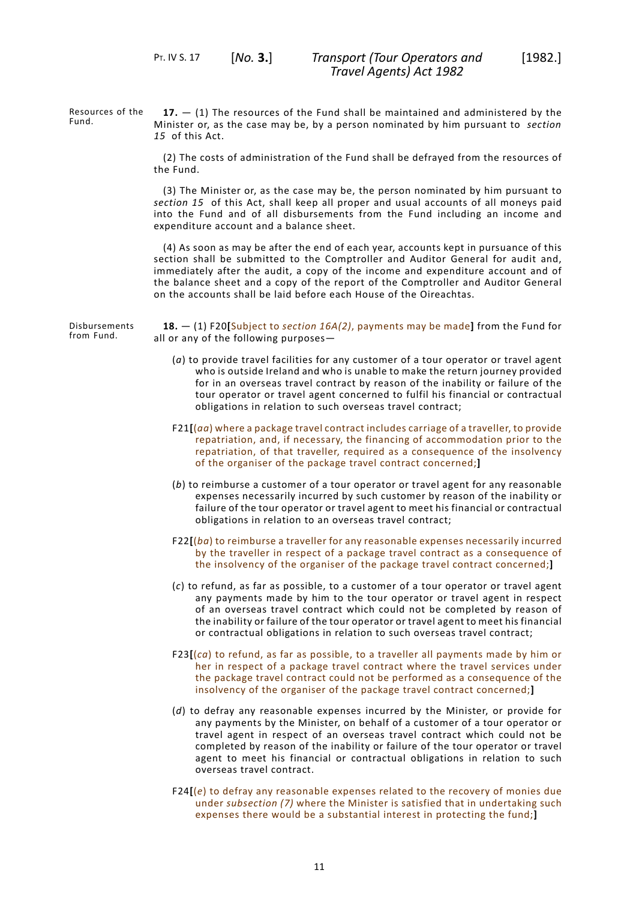Resources of the Fund.

<span id="page-12-0"></span>**17.** — (1) The resources of the Fund shall be maintained and administered by the Minister or, as the case may be, by a person nominated by him pursuant to *[section](#page-11-0) [15](#page-11-0)* of this Act.

(2) The costs of administration of the Fund shall be defrayed from the resources of the Fund.

(3) The Minister or, as the case may be, the person nominated by him pursuant to *[section](#page-11-0) 15* of this Act, shall keep all proper and usual accounts of all moneys paid into the Fund and of all disbursements from the Fund including an income and expenditure account and a balance sheet.

(4) As soon as may be after the end of each year, accounts kept in pursuance of this section shall be submitted to the Comptroller and Auditor General for audit and, immediately after the audit, a copy of the income and expenditure account and of the balance sheet and a copy of the report of the Comptroller and Auditor General on the accounts shall be laid before each House of the Oireachtas.

Disbursements from Fund.

<span id="page-12-1"></span>**18.** — (1) F20**[**Subject to *section 16A(2)*, payments may be made**]** from the Fund for all or any of the following purposes—

- (*a*) to provide travel facilities for any customer of a tour operator or travel agent who is outside Ireland and who is unable to make the return journey provided for in an overseas travel contract by reason of the inability or failure of the tour operator or travel agent concerned to fulfil his financial or contractual obligations in relation to such overseas travel contract;
- F21**[**(*aa*) where a package travel contract includes carriage of a traveller, to provide repatriation, and, if necessary, the financing of accommodation prior to the repatriation, of that traveller, required as a consequence of the insolvency of the organiser of the package travel contract concerned;**]**
- (*b*) to reimburse a customer of a tour operator or travel agent for any reasonable expenses necessarily incurred by such customer by reason of the inability or failure of the tour operator or travel agent to meet his financial or contractual obligations in relation to an overseas travel contract;
- F22**[**(*ba*) to reimburse a traveller for any reasonable expenses necessarily incurred by the traveller in respect of a package travel contract as a consequence of the insolvency of the organiser of the package travel contract concerned;**]**
- (*c*) to refund, as far as possible, to a customer of a tour operator or travel agent any payments made by him to the tour operator or travel agent in respect of an overseas travel contract which could not be completed by reason of the inability or failure of the tour operator or travel agent to meet his financial or contractual obligations in relation to such overseas travel contract;
- F23**[**(*ca*) to refund, as far as possible, to a traveller all payments made by him or her in respect of a package travel contract where the travel services under the package travel contract could not be performed as a consequence of the insolvency of the organiser of the package travel contract concerned;**]**
- (*d*) to defray any reasonable expenses incurred by the Minister, or provide for any payments by the Minister, on behalf of a customer of a tour operator or travel agent in respect of an overseas travel contract which could not be completed by reason of the inability or failure of the tour operator or travel agent to meet his financial or contractual obligations in relation to such overseas travel contract.
- F24**[**(*e*) to defray any reasonable expenses related to the recovery of monies due under *subsection (7)* where the Minister is satisfied that in undertaking such expenses there would be a substantial interest in protecting the fund;**]**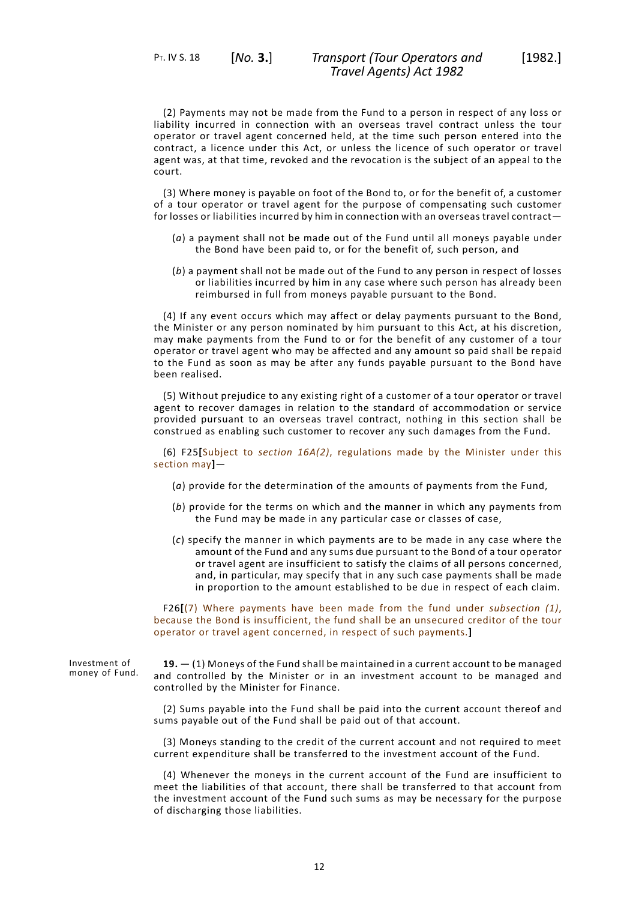(2) Payments may not be made from the Fund to a person in respect of any loss or liability incurred in connection with an overseas travel contract unless the tour operator or travel agent concerned held, at the time such person entered into the contract, a licence under this Act, or unless the licence of such operator or travel agent was, at that time, revoked and the revocation is the subject of an appeal to the court.

(3) Where money is payable on foot of the Bond to, or for the benefit of, a customer of a tour operator or travel agent for the purpose of compensating such customer for losses or liabilities incurred by him in connection with an overseas travel contract—

- (*a*) a payment shall not be made out of the Fund until all moneys payable under the Bond have been paid to, or for the benefit of, such person, and
- (*b*) a payment shall not be made out of the Fund to any person in respect of losses or liabilities incurred by him in any case where such person has already been reimbursed in full from moneys payable pursuant to the Bond.

(4) If any event occurs which may affect or delay payments pursuant to the Bond, the Minister or any person nominated by him pursuant to this Act, at his discretion, may make payments from the Fund to or for the benefit of any customer of a tour operator or travel agent who may be affected and any amount so paid shall be repaid to the Fund as soon as may be after any funds payable pursuant to the Bond have been realised.

(5) Without prejudice to any existing right of a customer of a tour operator or travel agent to recover damages in relation to the standard of accommodation or service provided pursuant to an overseas travel contract, nothing in this section shall be construed as enabling such customer to recover any such damages from the Fund.

(6) F25**[**Subject to *section 16A(2)*, regulations made by the Minister under this section may**]**—

- (*a*) provide for the determination of the amounts of payments from the Fund,
- (*b*) provide for the terms on which and the manner in which any payments from the Fund may be made in any particular case or classes of case,
- (*c*) specify the manner in which payments are to be made in any case where the amount of the Fund and any sums due pursuant to the Bond of a tour operator or travel agent are insufficient to satisfy the claims of all persons concerned, and, in particular, may specify that in any such case payments shall be made in proportion to the amount established to be due in respect of each claim.

<span id="page-13-0"></span>F26**[**(7) Where payments have been made from the fund under *subsection (1)*, because the Bond is insufficient, the fund shall be an unsecured creditor of the tour operator or travel agent concerned, in respect of such payments.**]**

Investment of money of Fund.

**19.** — (1) Moneys of the Fund shall be maintained in a current account to be managed and controlled by the Minister or in an investment account to be managed and controlled by the Minister for Finance.

(2) Sums payable into the Fund shall be paid into the current account thereof and sums payable out of the Fund shall be paid out of that account.

(3) Moneys standing to the credit of the current account and not required to meet current expenditure shall be transferred to the investment account of the Fund.

(4) Whenever the moneys in the current account of the Fund are insufficient to meet the liabilities of that account, there shall be transferred to that account from the investment account of the Fund such sums as may be necessary for the purpose of discharging those liabilities.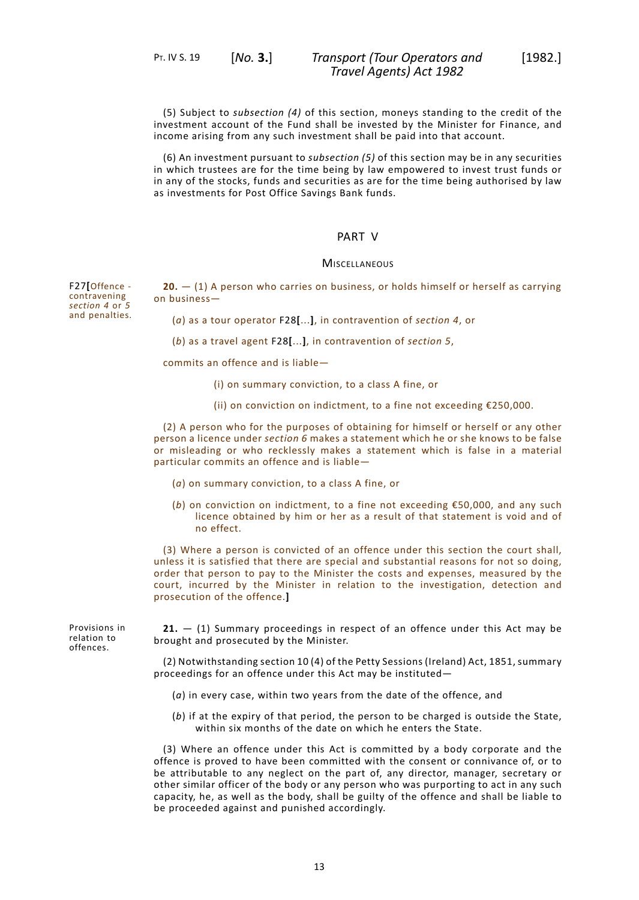(5) Subject to *subsection (4)* of this section, moneys standing to the credit of the investment account of the Fund shall be invested by the Minister for Finance, and income arising from any such investment shall be paid into that account.

<span id="page-14-0"></span>(6) An investment pursuant to *subsection (5)* of this section may be in any securities in which trustees are for the time being by law empowered to invest trust funds or in any of the stocks, funds and securities as are for the time being authorised by law as investments for Post Office Savings Bank funds.

### PART V

#### **MISCELLANEOUS**

<span id="page-14-1"></span>**20.** — (1) A person who carries on business, or holds himself or herself as carrying on business—

(*a*) as a tour operator F28**[**...**]**, in contravention of *section 4*, or

(*b*) as a travel agent F28**[**...**]**, in contravention of *section 5*,

commits an offence and is liable—

- (i) on summary conviction, to a class A fine, or
- (ii) on conviction on indictment, to a fine not exceeding €250,000.

(2) A person who for the purposes of obtaining for himself or herself or any other person a licence under *section 6* makes a statement which he or she knows to be false or misleading or who recklessly makes a statement which is false in a material particular commits an offence and is liable—

- (*a*) on summary conviction, to a class A fine, or
- (*b*) on conviction on indictment, to a fine not exceeding €50,000, and any such licence obtained by him or her as a result of that statement is void and of no effect.

<span id="page-14-2"></span>(3) Where a person is convicted of an offence under this section the court shall, unless it is satisfied that there are special and substantial reasons for not so doing, order that person to pay to the Minister the costs and expenses, measured by the court, incurred by the Minister in relation to the investigation, detection and prosecution of the offence.**]**

**21.** — (1) Summary proceedings in respect of an offence under this Act may be brought and prosecuted by the Minister.

(2) Notwithstanding section 10 (4) of the Petty Sessions (Ireland) Act, 1851, summary proceedings for an offence under this Act may be instituted—

- (*a*) in every case, within two years from the date of the offence, and
- (*b*) if at the expiry of that period, the person to be charged is outside the State, within six months of the date on which he enters the State.

(3) Where an offence under this Act is committed by a body corporate and the offence is proved to have been committed with the consent or connivance of, or to be attributable to any neglect on the part of, any director, manager, secretary or other similar officer of the body or any person who was purporting to act in any such capacity, he, as well as the body, shall be guilty of the offence and shall be liable to be proceeded against and punished accordingly.

F27**[**Offence contravening *section 4* or *5* and penalties.

Provisions in relation to offences.

13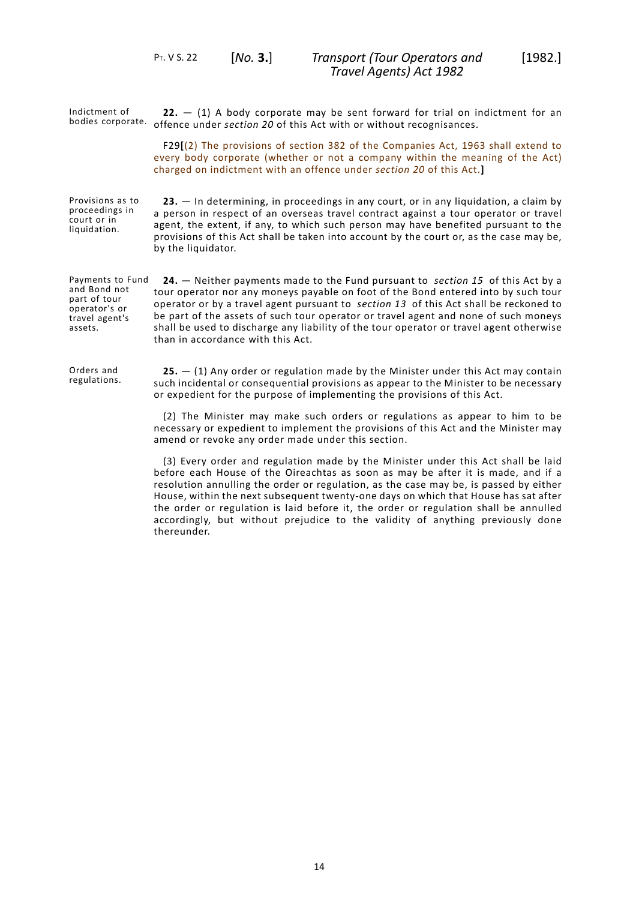<span id="page-15-0"></span>PT. V S. 22 [*No.* **3.**]

<span id="page-15-2"></span><span id="page-15-1"></span>

| Indictment of<br>bodies corporate.                                                             | $22. - (1)$ A body corporate may be sent forward for trial on indictment for an<br>offence under section 20 of this Act with or without recognisances.                                                                                                                                                                                                                                                                                                                                       |
|------------------------------------------------------------------------------------------------|----------------------------------------------------------------------------------------------------------------------------------------------------------------------------------------------------------------------------------------------------------------------------------------------------------------------------------------------------------------------------------------------------------------------------------------------------------------------------------------------|
|                                                                                                | F29[(2) The provisions of section 382 of the Companies Act, 1963 shall extend to<br>every body corporate (whether or not a company within the meaning of the Act)<br>charged on indictment with an offence under section 20 of this Act.]                                                                                                                                                                                                                                                    |
| Provisions as to<br>proceedings in<br>court or in<br>liquidation.                              | 23. - In determining, in proceedings in any court, or in any liquidation, a claim by<br>a person in respect of an overseas travel contract against a tour operator or travel<br>agent, the extent, if any, to which such person may have benefited pursuant to the<br>provisions of this Act shall be taken into account by the court or, as the case may be,<br>by the liquidator.                                                                                                          |
| Payments to Fund<br>and Bond not<br>part of tour<br>operator's or<br>travel agent's<br>assets. | <b>24.</b> - Neither payments made to the Fund pursuant to section 15 of this Act by a<br>tour operator nor any moneys payable on foot of the Bond entered into by such tour<br>operator or by a travel agent pursuant to section 13 of this Act shall be reckoned to<br>be part of the assets of such tour operator or travel agent and none of such moneys<br>shall be used to discharge any liability of the tour operator or travel agent otherwise<br>than in accordance with this Act. |
| Orders and<br>regulations.                                                                     | $25. - (1)$ Any order or regulation made by the Minister under this Act may contain<br>such incidental or consequential provisions as appear to the Minister to be necessary<br>or expedient for the purpose of implementing the provisions of this Act.                                                                                                                                                                                                                                     |
|                                                                                                | (2) The Minister may make such orders or regulations as appear to him to be<br>necessary or expedient to implement the provisions of this Act and the Minister may<br>amend or revoke any order made under this section.                                                                                                                                                                                                                                                                     |
|                                                                                                | (3) Every order and regulation made by the Minister under this Act shall be laid<br>before each House of the Oireachtas as soon as may be after it is made, and if a<br>resolution annulling the order or regulation, as the case may be, is passed by either                                                                                                                                                                                                                                |

<span id="page-15-3"></span>House, within the next subsequent twenty-one days on which that House has sat after the order or regulation is laid before it, the order or regulation shall be annulled accordingly, but without prejudice to the validity of anything previously done thereunder.